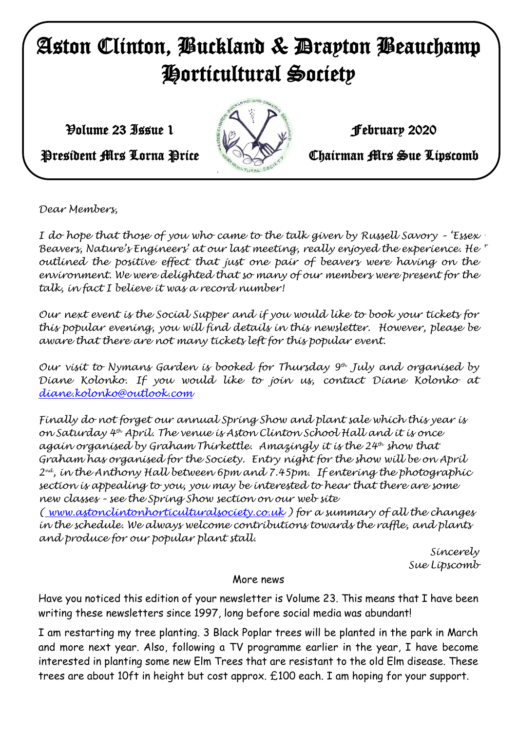# Aston Clinton, Buckland & Drayton Beauchamp Horticultural Society

 $\mathcal{V}$ olume 23 Issue 1 February 2020



President Mrs Lorna Price **Chairman Mrs Sue Lipscomb** 

*Dear Members,*

*With very best wishes, I do hope that those of you who came to the talk given by Russell Savory – 'Essex*  Beavers, Nature's Engineers' at our last meeting, really enjoyed the experience. He *outlined the positive effect that just one pair of beavers were having on the environment. We were delighted that so many of our members were present for the talk, in fact I believe it was a record number!*

*Our next event is the Social Supper and if you would like to book your tickets for this popular evening, you will find details in this newsletter. However, please be aware that there are not many tickets left for this popular event.*

*Our visit to Nymans Garden is booked for Thursday 9th July and organised by Diane Kolonko. If you would like to join us, contact Diane Kolonko at [diane.kolonko@outlook.com](mailto:diane.kolonko@outlook.com)*

*Finally do not forget our annual Spring Show and plant sale which this year is on Saturday 4th April. The venue is Aston Clinton School Hall and it is once again organised by Graham Thirkettle. Amazingly it is the 24th show that Graham has organised for the Society. Entry night for the show will be on April 2 nd, in the Anthony Hall between 6pm and 7.45pm. If entering the photographic section is appealing to you, you may be interested to hear that there are some new classes – see the Spring Show section on our web site* 

*( www.astonclintonhorticulturalsociety.co.uk ) for a summary of all the changes in the schedule. We always welcome contributions towards the raffle, and plants and produce for our popular plant stall.*

*Sincerely Sue Lipscomb*

# More news

Have you noticed this edition of your newsletter is Volume 23. This means that I have been writing these newsletters since 1997, long before social media was abundant!

I am restarting my tree planting. 3 Black Poplar trees will be planted in the park in March and more next year. Also, following a TV programme earlier in the year, I have become interested in planting some new Elm Trees that are resistant to the old Elm disease. These trees are about 10ft in height but cost approx. £100 each. I am hoping for your support.